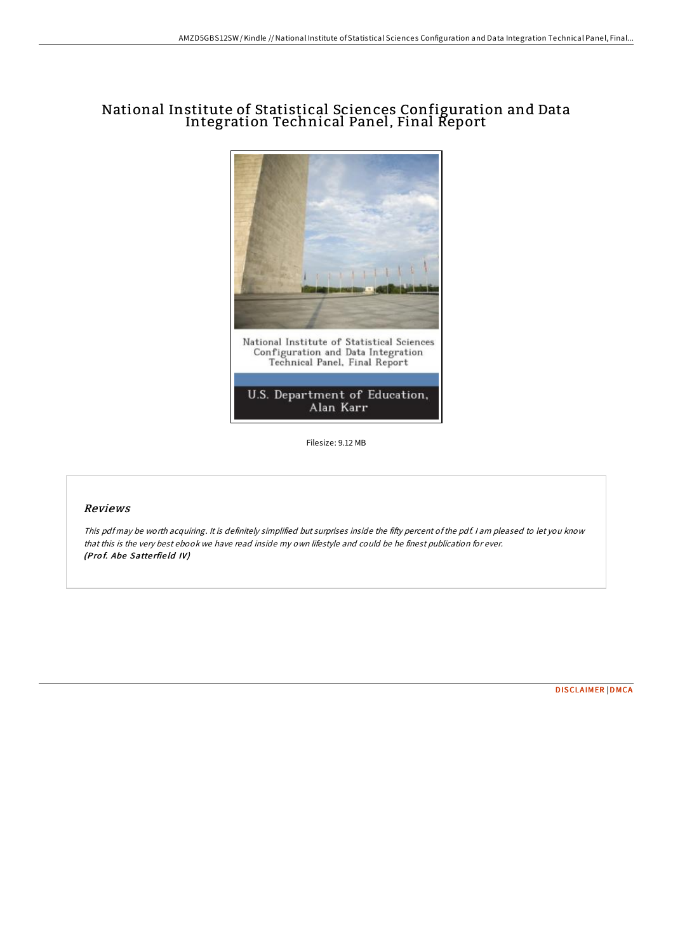## National Institute of Statistical Sciences Configuration and Data Integration Technical Panel, Final Report



Filesize: 9.12 MB

## Reviews

This pdf may be worth acquiring. It is definitely simplified but surprises inside the fifty percent ofthe pdf. <sup>I</sup> am pleased to let you know that this is the very best ebook we have read inside my own lifestyle and could be he finest publication for ever. (Prof. Abe Satterfield IV)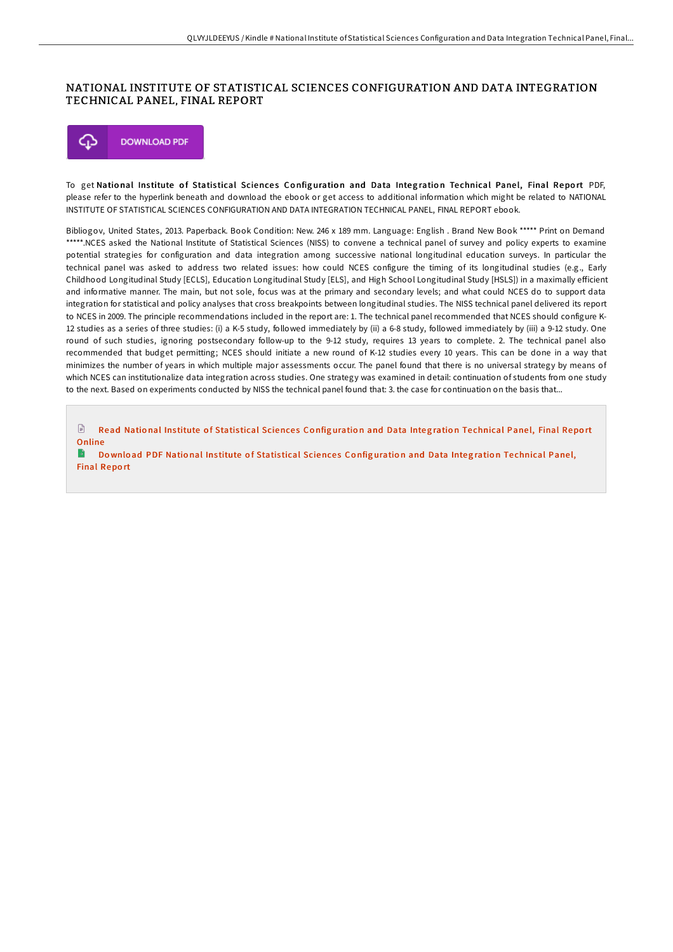## NATIONAL INSTITUTE OF STATISTICAL SCIENCES CONFIGURATION AND DATA INTEGRATION TECHNICAL PANEL, FINAL REPORT



To get National Institute of Statistical Sciences Configuration and Data Integration Technical Panel, Final Report PDF, please refer to the hyperlink beneath and download the ebook or get access to additional information which might be related to NATIONAL INSTITUTE OF STATISTICAL SCIENCES CONFIGURATION AND DATA INTEGRATION TECHNICAL PANEL, FINAL REPORT ebook.

Bibliogov, United States, 2013. Paperback. Book Condition: New. 246 x 189 mm. Language: English . Brand New Book \*\*\*\*\* Print on Demand \*\*\*\*\*.NCES asked the National Institute of Statistical Sciences (NISS) to convene a technical panel of survey and policy experts to examine potential strategies for configuration and data integration among successive national longitudinal education surveys. In particular the technical panel was asked to address two related issues: how could NCES configure the timing of its longitudinal studies (e.g., Early Childhood Longitudinal Study [ECLS], Education Longitudinal Study [ELS], and High School Longitudinal Study [HSLS]) in a maximally eHicient and informative manner. The main, but not sole, focus was at the primary and secondary levels; and what could NCES do to support data integration for statistical and policy analyses that cross breakpoints between longitudinal studies. The NISS technical panel delivered its report to NCES in 2009. The principle recommendations included in the report are: 1. The technical panel recommended that NCES should configure K-12 studies as a series of three studies: (i) a K-5 study, followed immediately by (ii) a 6-8 study, followed immediately by (iii) a 9-12 study. One round of such studies, ignoring postsecondary follow-up to the 9-12 study, requires 13 years to complete. 2. The technical panel also recommended that budget permitting; NCES should initiate a new round of K-12 studies every 10 years. This can be done in a way that minimizes the number of years in which multiple major assessments occur. The panel found that there is no universal strategy by means of which NCES can institutionalize data integration across studies. One strategy was examined in detail: continuation of students from one study to the next. Based on experiments conducted by NISS the technical panel found that: 3. the case for continuation on the basis that...

 $\mathbb{R}$ Read National Institute of Statistical [Science](http://almighty24.tech/national-institute-of-statistical-sciences-confi.html)s Configuration and Data Integration Technical Panel, Final Report Online

B Download PDF National Institute of Statistical [Science](http://almighty24.tech/national-institute-of-statistical-sciences-confi.html)s Configuration and Data Integration Technical Panel, Final Repo rt